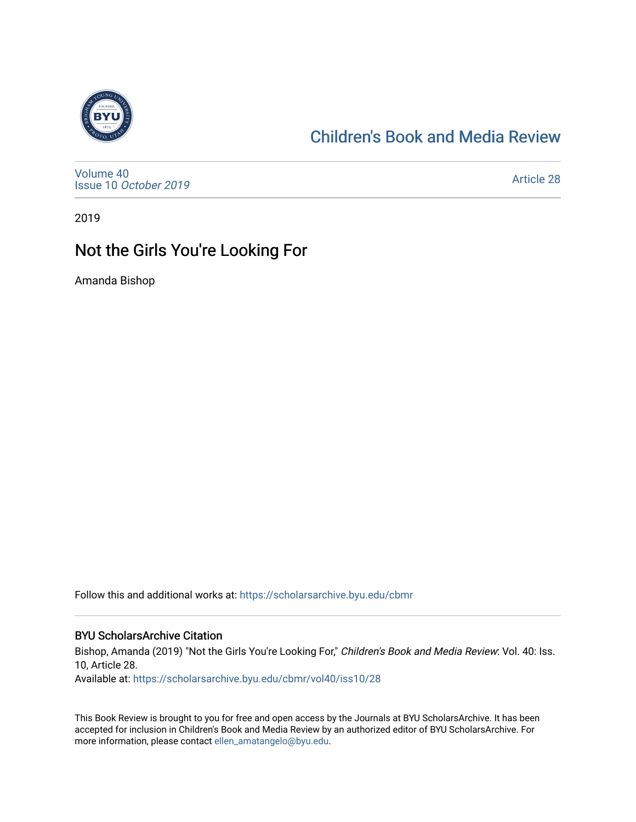

## [Children's Book and Media Review](https://scholarsarchive.byu.edu/cbmr)

[Volume 40](https://scholarsarchive.byu.edu/cbmr/vol40) Issue 10 [October 2019](https://scholarsarchive.byu.edu/cbmr/vol40/iss10)

[Article 28](https://scholarsarchive.byu.edu/cbmr/vol40/iss10/28) 

2019

## Not the Girls You're Looking For

Amanda Bishop

Follow this and additional works at: [https://scholarsarchive.byu.edu/cbmr](https://scholarsarchive.byu.edu/cbmr?utm_source=scholarsarchive.byu.edu%2Fcbmr%2Fvol40%2Fiss10%2F28&utm_medium=PDF&utm_campaign=PDFCoverPages) 

## BYU ScholarsArchive Citation

Bishop, Amanda (2019) "Not the Girls You're Looking For," Children's Book and Media Review: Vol. 40: Iss. 10, Article 28.

Available at: [https://scholarsarchive.byu.edu/cbmr/vol40/iss10/28](https://scholarsarchive.byu.edu/cbmr/vol40/iss10/28?utm_source=scholarsarchive.byu.edu%2Fcbmr%2Fvol40%2Fiss10%2F28&utm_medium=PDF&utm_campaign=PDFCoverPages) 

This Book Review is brought to you for free and open access by the Journals at BYU ScholarsArchive. It has been accepted for inclusion in Children's Book and Media Review by an authorized editor of BYU ScholarsArchive. For more information, please contact [ellen\\_amatangelo@byu.edu.](mailto:ellen_amatangelo@byu.edu)